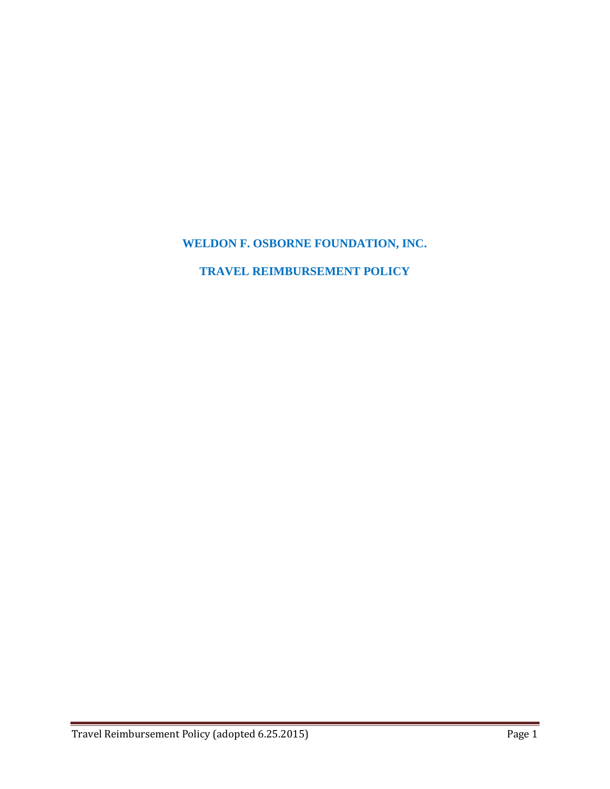# **WELDON F. OSBORNE FOUNDATION, INC.**

## **TRAVEL REIMBURSEMENT POLICY**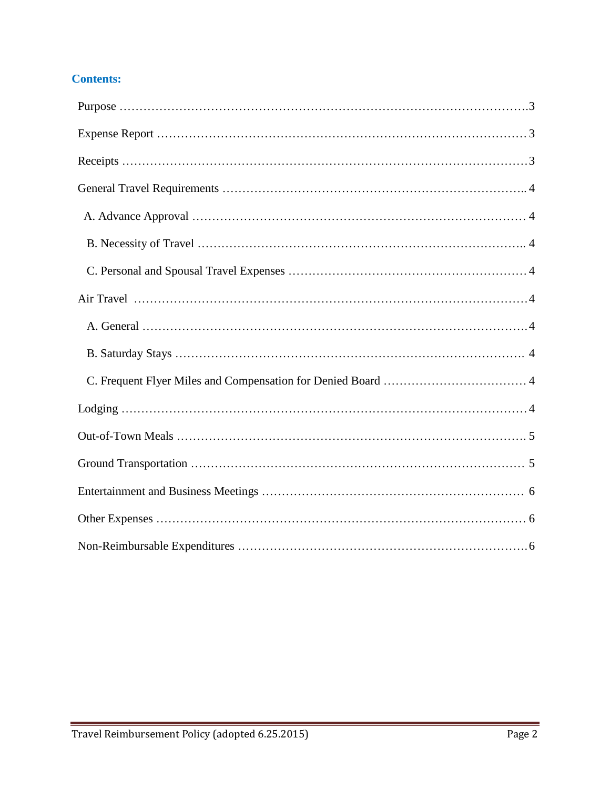## **Contents:**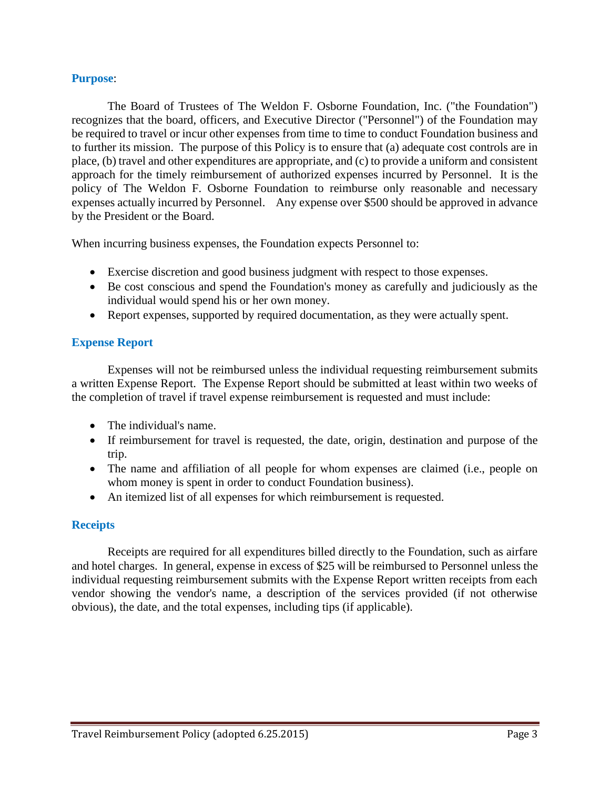#### **Purpose**:

The Board of Trustees of The Weldon F. Osborne Foundation, Inc. ("the Foundation") recognizes that the board, officers, and Executive Director ("Personnel") of the Foundation may be required to travel or incur other expenses from time to time to conduct Foundation business and to further its mission. The purpose of this Policy is to ensure that (a) adequate cost controls are in place, (b) travel and other expenditures are appropriate, and (c) to provide a uniform and consistent approach for the timely reimbursement of authorized expenses incurred by Personnel. It is the policy of The Weldon F. Osborne Foundation to reimburse only reasonable and necessary expenses actually incurred by Personnel. Any expense over \$500 should be approved in advance by the President or the Board.

When incurring business expenses, the Foundation expects Personnel to:

- Exercise discretion and good business judgment with respect to those expenses.
- Be cost conscious and spend the Foundation's money as carefully and judiciously as the individual would spend his or her own money.
- Report expenses, supported by required documentation, as they were actually spent.

## **Expense Report**

Expenses will not be reimbursed unless the individual requesting reimbursement submits a written Expense Report. The Expense Report should be submitted at least within two weeks of the completion of travel if travel expense reimbursement is requested and must include:

- The individual's name.
- If reimbursement for travel is requested, the date, origin, destination and purpose of the trip.
- The name and affiliation of all people for whom expenses are claimed (i.e., people on whom money is spent in order to conduct Foundation business).
- An itemized list of all expenses for which reimbursement is requested.

## **Receipts**

Receipts are required for all expenditures billed directly to the Foundation, such as airfare and hotel charges. In general, expense in excess of \$25 will be reimbursed to Personnel unless the individual requesting reimbursement submits with the Expense Report written receipts from each vendor showing the vendor's name, a description of the services provided (if not otherwise obvious), the date, and the total expenses, including tips (if applicable).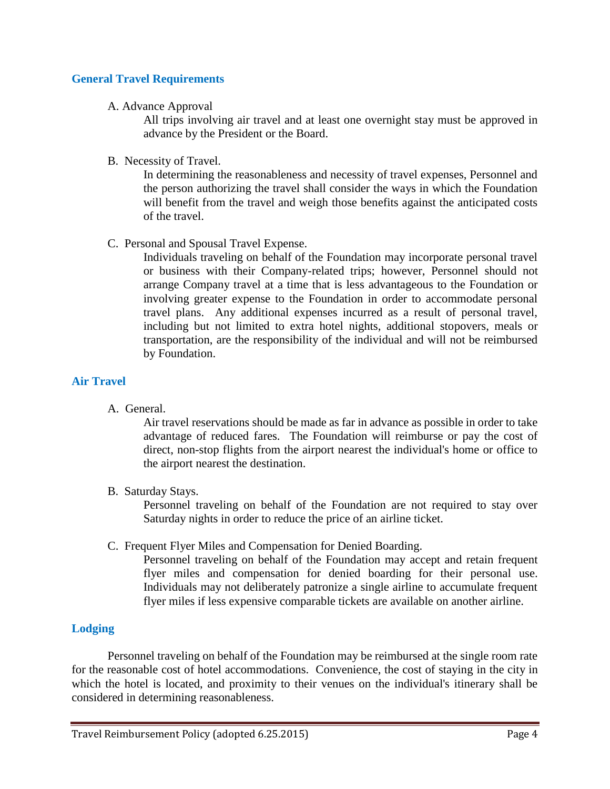## **General Travel Requirements**

### A. Advance Approval

All trips involving air travel and at least one overnight stay must be approved in advance by the President or the Board.

B. Necessity of Travel.

In determining the reasonableness and necessity of travel expenses, Personnel and the person authorizing the travel shall consider the ways in which the Foundation will benefit from the travel and weigh those benefits against the anticipated costs of the travel.

C. Personal and Spousal Travel Expense.

Individuals traveling on behalf of the Foundation may incorporate personal travel or business with their Company-related trips; however, Personnel should not arrange Company travel at a time that is less advantageous to the Foundation or involving greater expense to the Foundation in order to accommodate personal travel plans. Any additional expenses incurred as a result of personal travel, including but not limited to extra hotel nights, additional stopovers, meals or transportation, are the responsibility of the individual and will not be reimbursed by Foundation.

## **Air Travel**

A. General.

Air travel reservations should be made as far in advance as possible in order to take advantage of reduced fares. The Foundation will reimburse or pay the cost of direct, non-stop flights from the airport nearest the individual's home or office to the airport nearest the destination.

B. Saturday Stays.

Personnel traveling on behalf of the Foundation are not required to stay over Saturday nights in order to reduce the price of an airline ticket.

C. Frequent Flyer Miles and Compensation for Denied Boarding.

Personnel traveling on behalf of the Foundation may accept and retain frequent flyer miles and compensation for denied boarding for their personal use. Individuals may not deliberately patronize a single airline to accumulate frequent flyer miles if less expensive comparable tickets are available on another airline.

## **Lodging**

Personnel traveling on behalf of the Foundation may be reimbursed at the single room rate for the reasonable cost of hotel accommodations. Convenience, the cost of staying in the city in which the hotel is located, and proximity to their venues on the individual's itinerary shall be considered in determining reasonableness.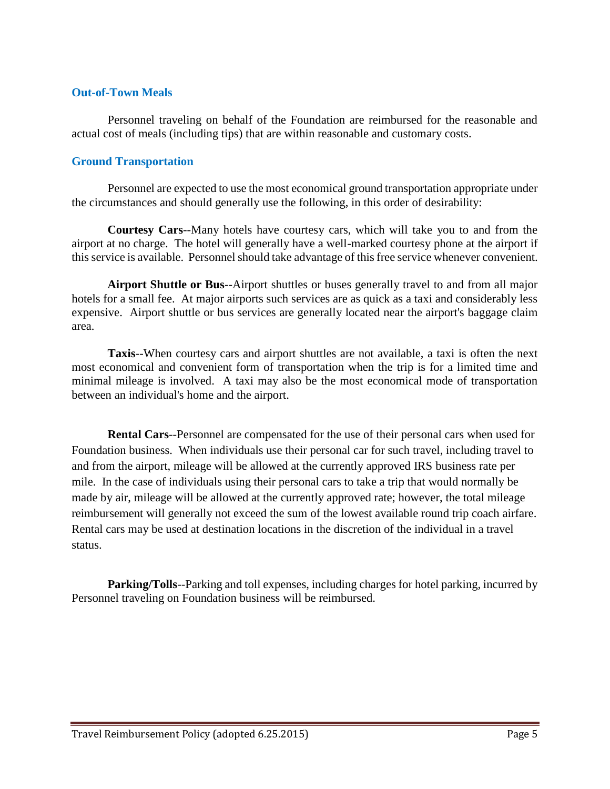#### **Out-of-Town Meals**

Personnel traveling on behalf of the Foundation are reimbursed for the reasonable and actual cost of meals (including tips) that are within reasonable and customary costs.

#### **Ground Transportation**

Personnel are expected to use the most economical ground transportation appropriate under the circumstances and should generally use the following, in this order of desirability:

**Courtesy Cars**--Many hotels have courtesy cars, which will take you to and from the airport at no charge. The hotel will generally have a well-marked courtesy phone at the airport if this service is available. Personnel should take advantage of this free service whenever convenient.

**Airport Shuttle or Bus**--Airport shuttles or buses generally travel to and from all major hotels for a small fee. At major airports such services are as quick as a taxi and considerably less expensive. Airport shuttle or bus services are generally located near the airport's baggage claim area.

**Taxis**--When courtesy cars and airport shuttles are not available, a taxi is often the next most economical and convenient form of transportation when the trip is for a limited time and minimal mileage is involved. A taxi may also be the most economical mode of transportation between an individual's home and the airport.

**Rental Cars**--Personnel are compensated for the use of their personal cars when used for Foundation business. When individuals use their personal car for such travel, including travel to and from the airport, mileage will be allowed at the currently approved IRS business rate per mile. In the case of individuals using their personal cars to take a trip that would normally be made by air, mileage will be allowed at the currently approved rate; however, the total mileage reimbursement will generally not exceed the sum of the lowest available round trip coach airfare. Rental cars may be used at destination locations in the discretion of the individual in a travel status.

**Parking/Tolls**--Parking and toll expenses, including charges for hotel parking, incurred by Personnel traveling on Foundation business will be reimbursed.